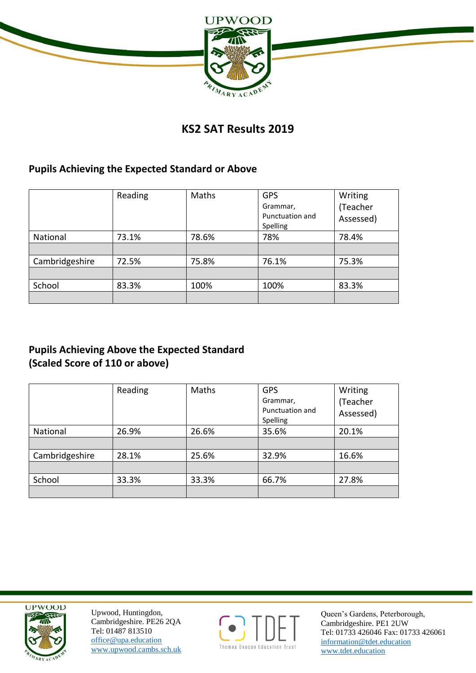

# **KS2 SAT Results 2019**

#### **Pupils Achieving the Expected Standard or Above**

|                | Reading | Maths | <b>GPS</b><br>Grammar,<br>Punctuation and<br>Spelling | Writing<br>(Teacher<br>Assessed) |
|----------------|---------|-------|-------------------------------------------------------|----------------------------------|
| National       | 73.1%   | 78.6% | 78%                                                   | 78.4%                            |
|                |         |       |                                                       |                                  |
| Cambridgeshire | 72.5%   | 75.8% | 76.1%                                                 | 75.3%                            |
|                |         |       |                                                       |                                  |
| School         | 83.3%   | 100%  | 100%                                                  | 83.3%                            |
|                |         |       |                                                       |                                  |

# **Pupils Achieving Above the Expected Standard (Scaled Score of 110 or above)**

|                | Reading | Maths | <b>GPS</b><br>Grammar,<br>Punctuation and<br>Spelling | Writing<br>(Teacher<br>Assessed) |
|----------------|---------|-------|-------------------------------------------------------|----------------------------------|
| National       | 26.9%   | 26.6% | 35.6%                                                 | 20.1%                            |
|                |         |       |                                                       |                                  |
| Cambridgeshire | 28.1%   | 25.6% | 32.9%                                                 | 16.6%                            |
|                |         |       |                                                       |                                  |
| School         | 33.3%   | 33.3% | 66.7%                                                 | 27.8%                            |
|                |         |       |                                                       |                                  |



Upwood, Huntingdon, Cambridgeshire. PE26 2QA Tel: 01487 813510 office@upa.education [www.upwood.cambs.sch.uk](http://www.upwood.cambs.sch.uk/)



Queen's Gardens, Peterborough, Cambridgeshire. PE1 2UW Tel: 01733 426046 Fax: 01733 426061 [information@tdet.education](mailto:information@tda.education) www.tdet.education